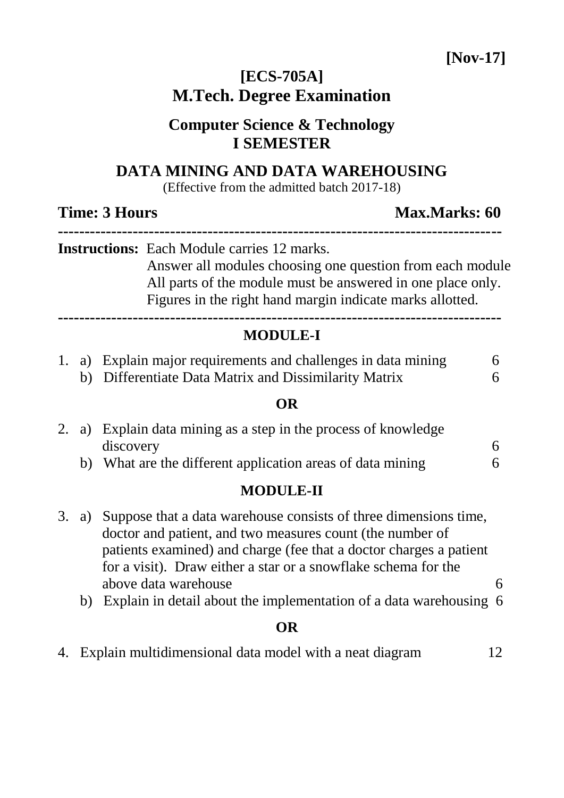**[Nov-17]**

# **[ECS-705A] M.Tech. Degree Examination**

# **Computer Science & Technology I SEMESTER**

## **DATA MINING AND DATA WAREHOUSING**

(Effective from the admitted batch 2017-18)

|  |  | <b>Time: 3 Hours</b> |                                                                                                                                                                                                                                             | Max.Marks: 60 |  |  |
|--|--|----------------------|---------------------------------------------------------------------------------------------------------------------------------------------------------------------------------------------------------------------------------------------|---------------|--|--|
|  |  |                      | <b>Instructions:</b> Each Module carries 12 marks.<br>Answer all modules choosing one question from each module<br>All parts of the module must be answered in one place only.<br>Figures in the right hand margin indicate marks allotted. |               |  |  |
|  |  |                      | <b>MODULE-I</b>                                                                                                                                                                                                                             |               |  |  |
|  |  |                      | 1. a) Explain major requirements and challenges in data mining<br>b) Differentiate Data Matrix and Dissimilarity Matrix                                                                                                                     | 6<br>6        |  |  |
|  |  |                      | OR                                                                                                                                                                                                                                          |               |  |  |
|  |  | discovery            | 2. a) Explain data mining as a step in the process of knowledge                                                                                                                                                                             |               |  |  |

b) What are the different application areas of data mining 6

# **MODULE-II**

- 3. a) Suppose that a data warehouse consists of three dimensions time, doctor and patient, and two measures count (the number of patients examined) and charge (fee that a doctor charges a patient for a visit). Draw either a star or a snowflake schema for the above data warehouse 6
	- b) Explain in detail about the implementation of a data warehousing 6

### **OR**

4. Explain multidimensional data model with a neat diagram 12